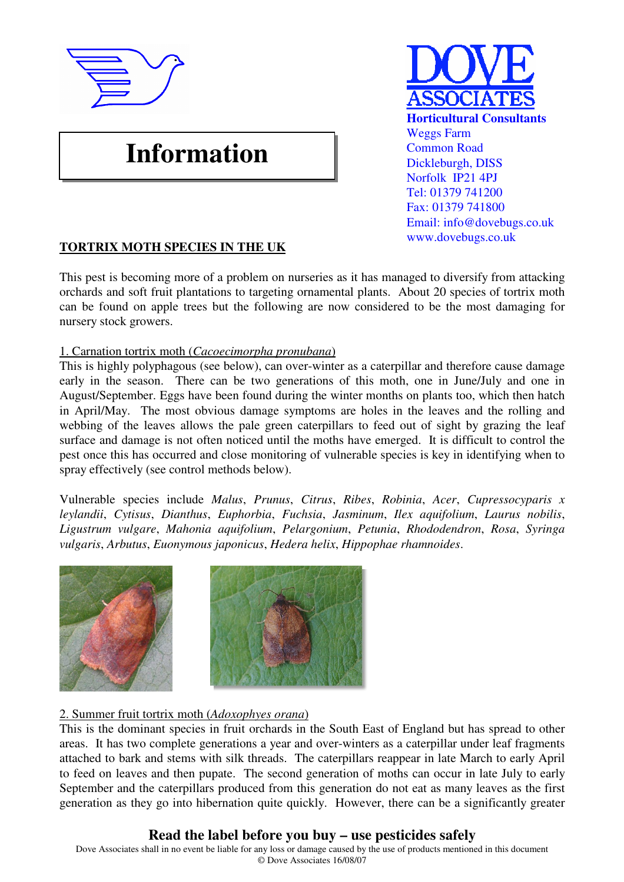

# **Information**



# **TORTRIX MOTH SPECIES IN THE UK**

This pest is becoming more of a problem on nurseries as it has managed to diversify from attacking orchards and soft fruit plantations to targeting ornamental plants. About 20 species of tortrix moth can be found on apple trees but the following are now considered to be the most damaging for nursery stock growers.

## 1. Carnation tortrix moth (*Cacoecimorpha pronubana*)

This is highly polyphagous (see below), can over-winter as a caterpillar and therefore cause damage early in the season. There can be two generations of this moth, one in June/July and one in August/September. Eggs have been found during the winter months on plants too, which then hatch in April/May. The most obvious damage symptoms are holes in the leaves and the rolling and webbing of the leaves allows the pale green caterpillars to feed out of sight by grazing the leaf surface and damage is not often noticed until the moths have emerged. It is difficult to control the pest once this has occurred and close monitoring of vulnerable species is key in identifying when to spray effectively (see control methods below).

Vulnerable species include *Malus*, *Prunus*, *Citrus*, *Ribes*, *Robinia*, *Acer*, *Cupressocyparis x leylandii*, *Cytisus*, *Dianthus*, *Euphorbia*, *Fuchsia*, *Jasminum*, *Ilex aquifolium*, *Laurus nobilis*, *Ligustrum vulgare*, *Mahonia aquifolium*, *Pelargonium*, *Petunia*, *Rhododendron*, *Rosa*, *Syringa vulgaris*, *Arbutus*, *Euonymous japonicus*, *Hedera helix*, *Hippophae rhamnoides*.



## 2. Summer fruit tortrix moth (*Adoxophyes orana*)

This is the dominant species in fruit orchards in the South East of England but has spread to other areas. It has two complete generations a year and over-winters as a caterpillar under leaf fragments attached to bark and stems with silk threads. The caterpillars reappear in late March to early April to feed on leaves and then pupate. The second generation of moths can occur in late July to early September and the caterpillars produced from this generation do not eat as many leaves as the first generation as they go into hibernation quite quickly. However, there can be a significantly greater

# **Read the label before you buy – use pesticides safely**

Dove Associates shall in no event be liable for any loss or damage caused by the use of products mentioned in this document © Dove Associates 16/08/07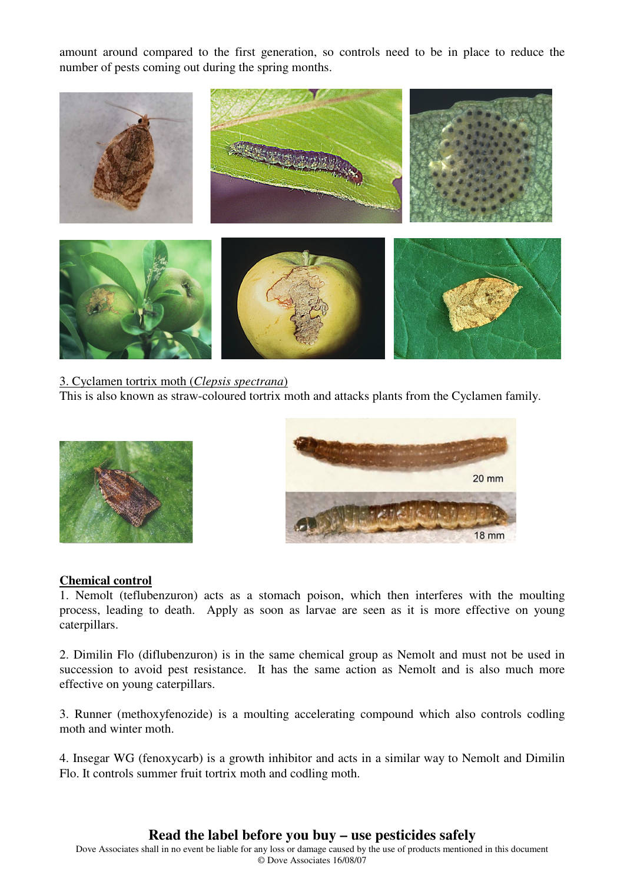amount around compared to the first generation, so controls need to be in place to reduce the number of pests coming out during the spring months.



3. Cyclamen tortrix moth (*Clepsis spectrana*) This is also known as straw-coloured tortrix moth and attacks plants from the Cyclamen family.





#### **Chemical control**

1. Nemolt (teflubenzuron) acts as a stomach poison, which then interferes with the moulting process, leading to death. Apply as soon as larvae are seen as it is more effective on young caterpillars.

2. Dimilin Flo (diflubenzuron) is in the same chemical group as Nemolt and must not be used in succession to avoid pest resistance. It has the same action as Nemolt and is also much more effective on young caterpillars.

3. Runner (methoxyfenozide) is a moulting accelerating compound which also controls codling moth and winter moth.

4. Insegar WG (fenoxycarb) is a growth inhibitor and acts in a similar way to Nemolt and Dimilin Flo. It controls summer fruit tortrix moth and codling moth.